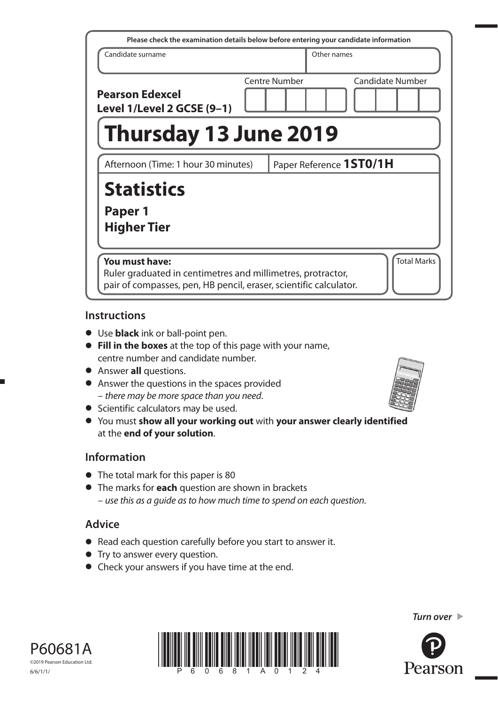| Please check the examination details below before entering your candidate information                                                              |  |                      |             |                         |
|----------------------------------------------------------------------------------------------------------------------------------------------------|--|----------------------|-------------|-------------------------|
| Candidate surname                                                                                                                                  |  |                      | Other names |                         |
| <b>Pearson Edexcel</b><br>Level 1/Level 2 GCSE (9-1)                                                                                               |  | <b>Centre Number</b> |             | <b>Candidate Number</b> |
| <b>Thursday 13 June 2019</b>                                                                                                                       |  |                      |             |                         |
| Afternoon (Time: 1 hour 30 minutes)                                                                                                                |  |                      |             | Paper Reference 1ST0/1H |
| <b>Statistics</b><br>Paper 1<br><b>Higher Tier</b>                                                                                                 |  |                      |             |                         |
| You must have:<br>Ruler graduated in centimetres and millimetres, protractor,<br>pair of compasses, pen, HB pencil, eraser, scientific calculator. |  |                      |             | <b>Total Marks</b>      |

## **Instructions**

- Use **black** ink or ball-point pen.
- **Fill in the boxes** at the top of this page with your name, centre number and candidate number.
- Answer **all** questions.
- Answer the questions in the spaces provided – there may be more space than you need.
- Scientific calculators may be used.
- You must **show all your working out** with **your answer clearly identified** at the **end of your solution**.

## **Information**

- The total mark for this paper is 80
- The marks for **each** question are shown in brackets – use this as a guide as to how much time to spend on each question.

# **Advice**

- Read each question carefully before you start to answer it.
- Try to answer every question.
- Check your answers if you have time at the end.



*Turn over* 



P60681A ©2019 Pearson Education Ltd. 6/6/1/1/

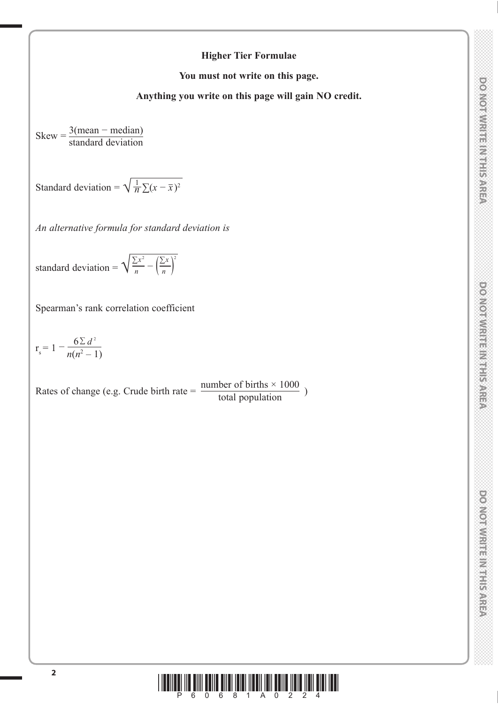## **Higher Tier Formulae**

**You must not write on this page.**

**Anything you write on this page will gain NO credit.**

 $Skew = \frac{3(mean - median)}{1 + 1 + 1}$ standard deviation

Standard deviation =  $\sqrt{\frac{1}{n} \sum (x - \bar{x})^2}$ 

*An alternative formula for standard deviation is*

standard deviation =  $\sqrt{\frac{\sum x^2}{n} - (\frac{\sum x}{n})^2}$ 

Spearman's rank correlation coefficient

 $r_s = 1 - \frac{6 \sum d^2}{n(n^2 - 1)}$ 

Rates of change (e.g. Crude birth rate =  $\frac{\text{number of births} \times 1000}{\text{total population}}$ )

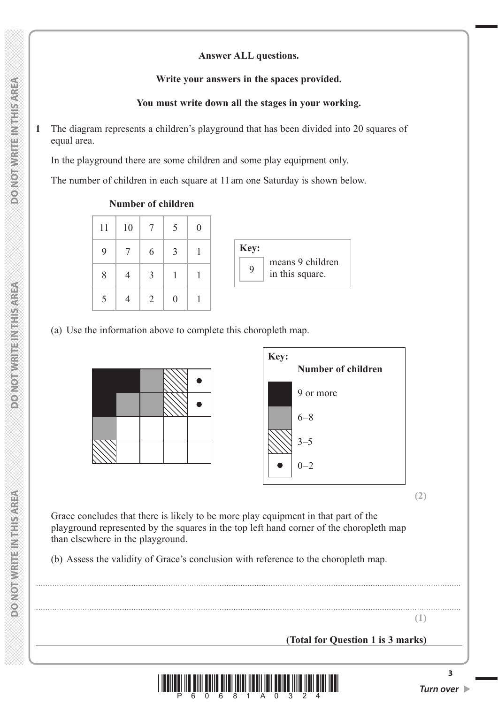#### **Answer ALL questions.**

#### **Write your answers in the spaces provided.**

## **You must write down all the stages in your working.**

**1** The diagram represents a children's playground that has been divided into 20 squares of equal area.

In the playground there are some children and some play equipment only.

The number of children in each square at 11 am one Saturday is shown below.



(a) Use the information above to complete this choropleth map.





**(2)**

 Grace concludes that there is likely to be more play equipment in that part of the playground represented by the squares in the top left hand corner of the choropleth map than elsewhere in the playground.

(b) Assess the validity of Grace's conclusion with reference to the choropleth map.

**(1)**

**(Total for Question 1 is 3 marks)**



..................................................................................................................................................................................................................................................

..................................................................................................................................................................................................................................................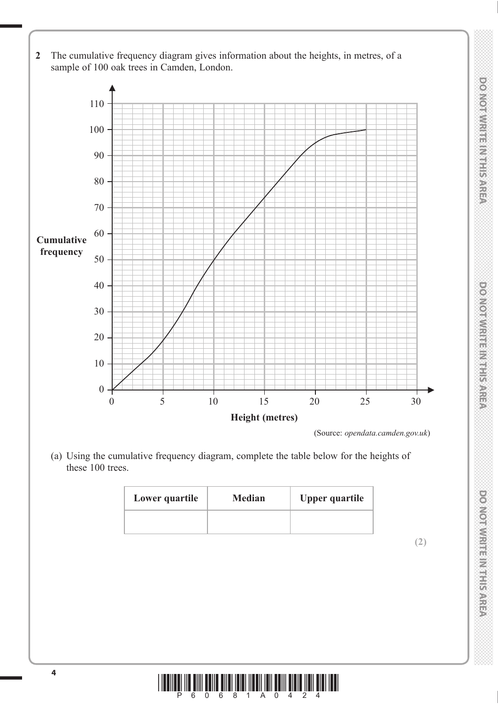- **2** The cumulative frequency diagram gives information about the heights, in metres, of a sample of 100 oak trees in Camden, London. 110 100 90 80 70 60  $50 -$ 40 30 20 **Cumulative frequency**
	- **Height (metres)** (Source: *opendata.camden.gov.uk*)

0 5 10 15 20 25 30

 (a) Using the cumulative frequency diagram, complete the table below for the heights of these 100 trees.

| Lower quartile | <b>Median</b> | <b>Upper quartile</b> |
|----------------|---------------|-----------------------|
|                |               |                       |





10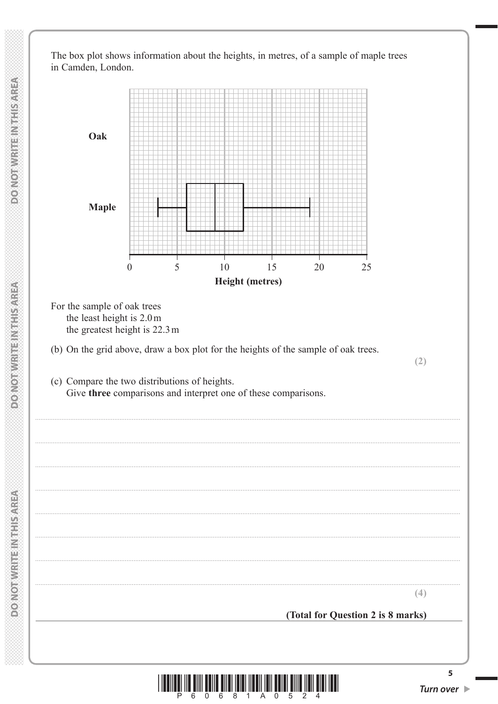The box plot shows information about the heights, in metres, of a sample of maple trees in Camden, London.



6  $\overline{0}$ 

Р

6 8 1 A 0

5

Turn over  $\blacktriangleright$ 

**DONOTHISTICINITY SWIFTS** 

**DONOTWRITEINTHISMER**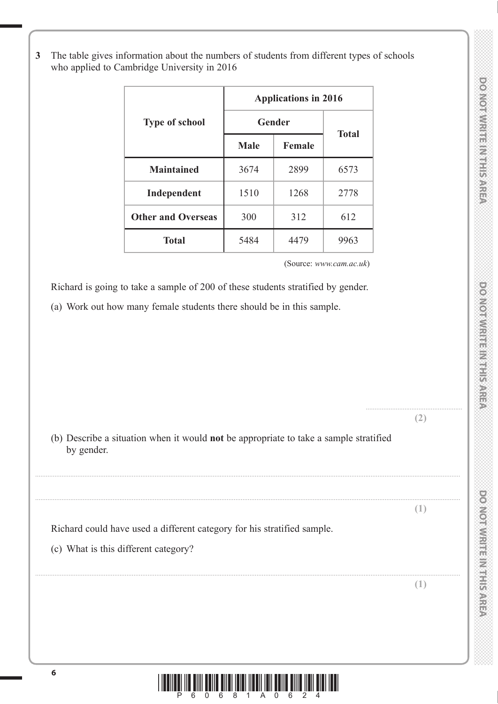.......................................................

**DONOTWRITE IN THIS AREA** 

**3** The table gives information about the numbers of students from different types of schools who applied to Cambridge University in 2016

|                           | <b>Applications in 2016</b> |               |              |  |  |  |
|---------------------------|-----------------------------|---------------|--------------|--|--|--|
| <b>Type of school</b>     | Gender                      |               |              |  |  |  |
|                           | <b>Male</b>                 | <b>Female</b> | <b>Total</b> |  |  |  |
| <b>Maintained</b>         | 3674                        | 2899          | 6573         |  |  |  |
| Independent               | 1510                        | 1268          | 2778         |  |  |  |
| <b>Other and Overseas</b> | 300                         | 312           | 612          |  |  |  |
| <b>Total</b>              | 5484                        | 4479          | 9963         |  |  |  |

(Source: *www.cam.ac.uk*)

Richard is going to take a sample of 200 of these students stratified by gender.

(a) Work out how many female students there should be in this sample.

|            |                                                                                                                                             | $\mathbb{Z}$ |
|------------|---------------------------------------------------------------------------------------------------------------------------------------------|--------------|
| by gender. | (b) Describe a situation when it would not be appropriate to take a sample stratified                                                       |              |
|            |                                                                                                                                             |              |
|            |                                                                                                                                             | $(\bot)$     |
|            | Richard could have used a different category for his stratified sample.                                                                     |              |
|            | (c) What is this different category?                                                                                                        |              |
|            |                                                                                                                                             |              |
|            |                                                                                                                                             | (1)          |
|            |                                                                                                                                             |              |
|            |                                                                                                                                             |              |
|            |                                                                                                                                             |              |
|            |                                                                                                                                             |              |
| 6          | <u> I da iya a iyya a shekarar ta shekarar ta shekarar ta shekarar ta shekarar ta shekarar ta shekarar ta shekara</u><br>6<br>8<br>$\Omega$ |              |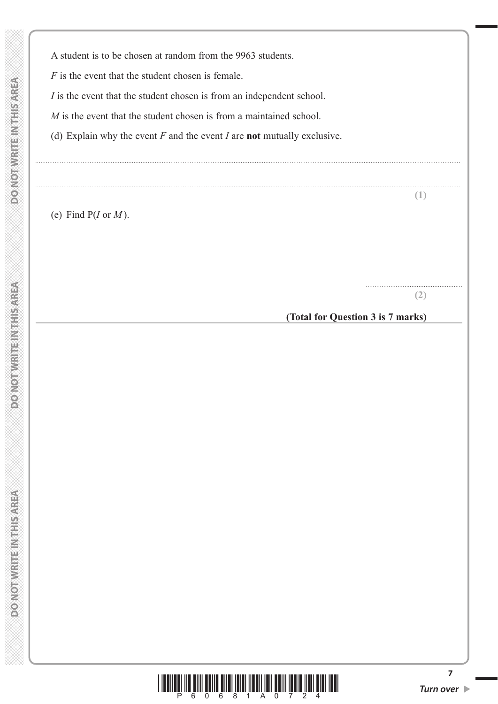A student is to be chosen at random from the 9963 students.

*F* is the event that the student chosen is female.

*I* is the event that the student chosen is from an independent school.

*M* is the event that the student chosen is from a maintained school.

(d) Explain why the event *F* and the event *I* are **not** mutually exclusive.

..................................................................................................................................................................................................................................................

..................................................................................................................................................................................................................................................

(e) Find P(*I* or *M* ).

**(2)**

.......................................................

**(1)**

**(Total for Question 3 is 7 marks)**

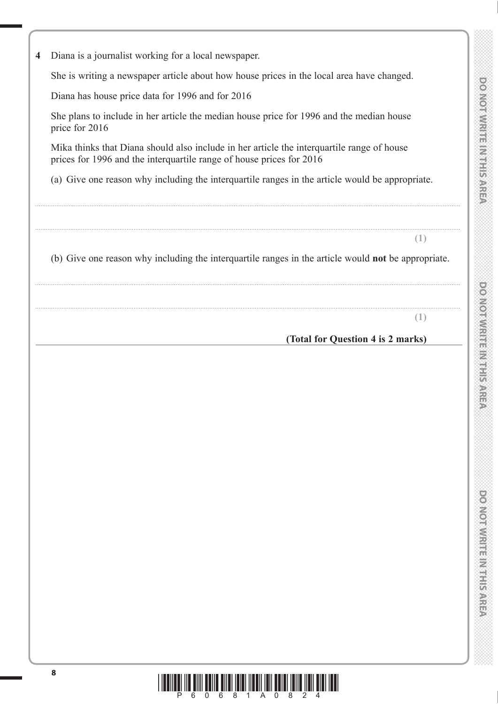**4** Diana is a journalist working for a local newspaper.

She is writing a newspaper article about how house prices in the local area have changed.

Diana has house price data for 1996 and for 2016

 She plans to include in her article the median house price for 1996 and the median house price for 2016

 Mika thinks that Diana should also include in her article the interquartile range of house prices for 1996 and the interquartile range of house prices for 2016

(a) Give one reason why including the interquartile ranges in the article would be appropriate.

..................................................................................................................................................................................................................................................

..................................................................................................................................................................................................................................................

(b) Give one reason why including the interquartile ranges in the article would **not** be appropriate.

..................................................................................................................................................................................................................................................

.................................................................................................................................................................................................................................................. **(1)**

**(1)**

## **(Total for Question 4 is 2 marks)**

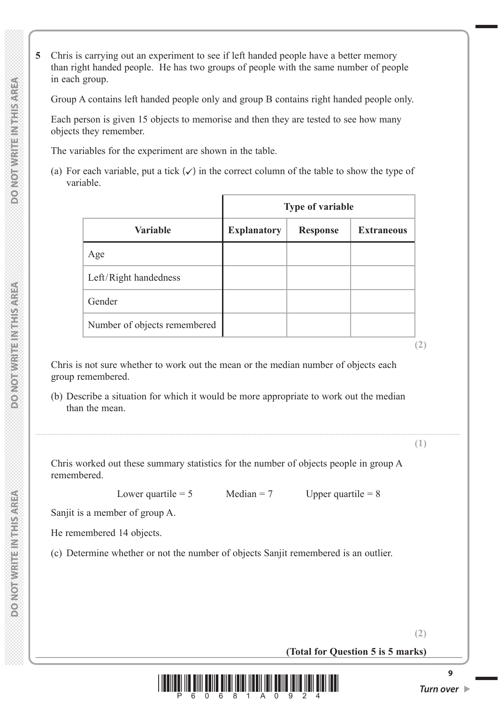**5** Chris is carrying out an experiment to see if left handed people have a better memory than right handed people. He has two groups of people with the same number of people in each group.

Group A contains left handed people only and group B contains right handed people only.

 Each person is given 15 objects to memorise and then they are tested to see how many objects they remember.

The variables for the experiment are shown in the table.

(a) For each variable, put a tick  $(\checkmark)$  in the correct column of the table to show the type of variable.

|                              | <b>Type of variable</b> |                 |                   |  |
|------------------------------|-------------------------|-----------------|-------------------|--|
| <b>Variable</b>              | <b>Explanatory</b>      | <b>Response</b> | <b>Extraneous</b> |  |
| Age                          |                         |                 |                   |  |
| Left/Right handedness        |                         |                 |                   |  |
| Gender                       |                         |                 |                   |  |
| Number of objects remembered |                         |                 |                   |  |

 Chris is not sure whether to work out the mean or the median number of objects each group remembered.

 (b) Describe a situation for which it would be more appropriate to work out the median than the mean.

..................................................................................................................................................................................................................................................

**(1)**

**(2)**

 Chris worked out these summary statistics for the number of objects people in group A remembered.

Lower quartile = 5 Median = 7 Upper quartile =  $8$ 

Sanjit is a member of group A.

He remembered 14 objects.

(c) Determine whether or not the number of objects Sanjit remembered is an outlier.

**(Total for Question 5 is 5 marks)**

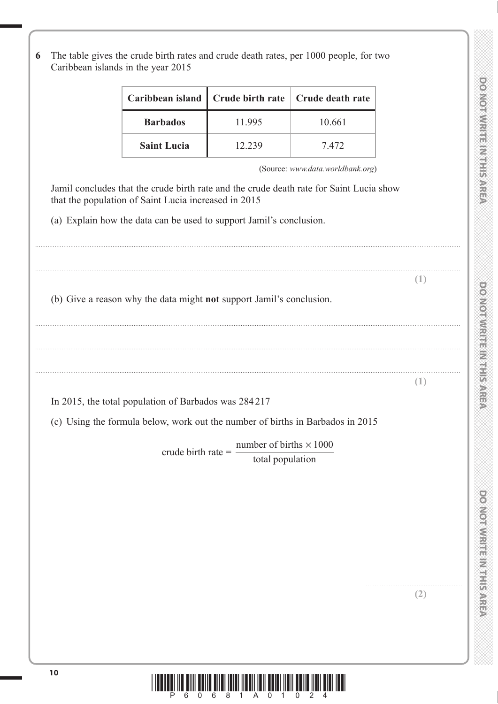**DOMORATIE METRISARE?** 

**6** The table gives the crude birth rates and crude death rates, per 1000 people, for two Caribbean islands in the year 2015

|                    |        | Caribbean island   Crude birth rate   Crude death rate |
|--------------------|--------|--------------------------------------------------------|
| <b>Barbados</b>    | 11.995 | 10.661                                                 |
| <b>Saint Lucia</b> | 12.239 | 7.472                                                  |

..................................................................................................................................................................................................................................................

(Source: *www.data.worldbank.org*)

 Jamil concludes that the crude birth rate and the crude death rate for Saint Lucia show that the population of Saint Lucia increased in 2015

(a) Explain how the data can be used to support Jamil's conclusion.

.................................................................................................................................................................................................................................................. **(1)** (b) Give a reason why the data might **not** support Jamil's conclusion. .................................................................................................................................................................................................................................................. .................................................................................................................................................................................................................................................. **(1)** In 2015, the total population of Barbados was 284 217 (c) Using the formula below, work out the number of births in Barbados in 2015 crude birth rate = number of births  $\times 1000$ total population

.......................................................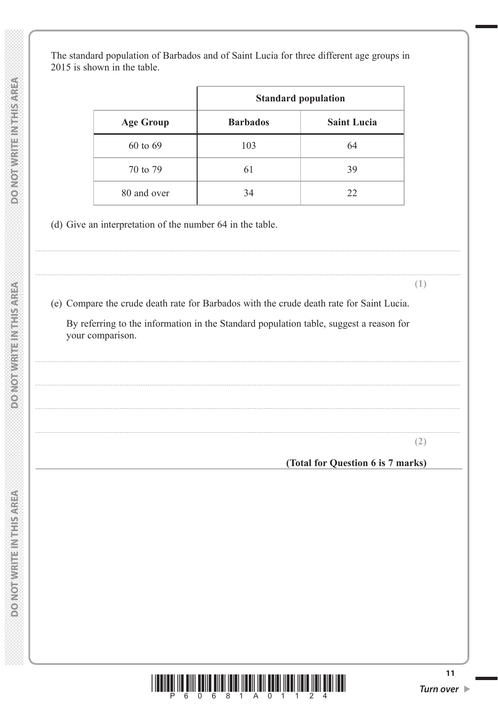The standard population of Barbados and of Saint Lucia for three different age groups in 2015 is shown in the table.

|                  | <b>Standard population</b> |                    |  |
|------------------|----------------------------|--------------------|--|
| <b>Age Group</b> | <b>Barbados</b>            | <b>Saint Lucia</b> |  |
| 60 to 69         | 103                        | 64                 |  |
| 70 to 79         | 61                         | 39                 |  |
| 80 and over      | 34                         | 22                 |  |

(d) Give an interpretation of the number 64 in the table.

(e) Compare the crude death rate for Barbados with the crude death rate for Saint Lucia.

By referring to the information in the Standard population table, suggest a reason for your comparison.

 $(2)$ 

 $(1)$ 

(Total for Question 6 is 7 marks)

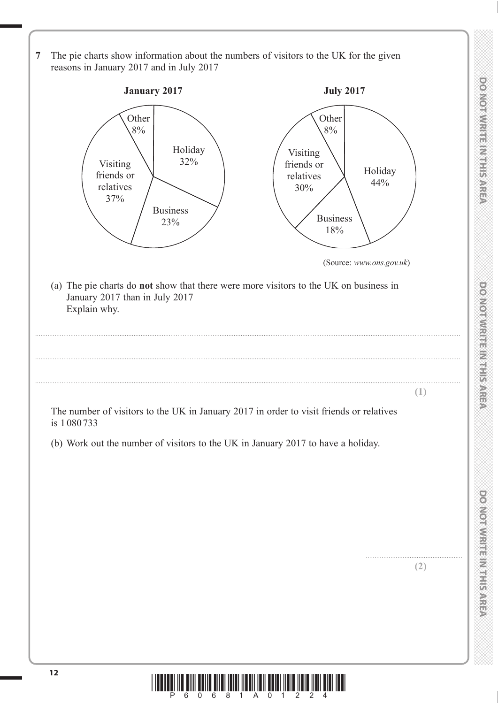**<sup>12</sup>** \*P60681A01224\* **7** The pie charts show information about the numbers of visitors to the UK for the given reasons in January 2017 and in July 2017 **January 2017** Other 8% Holiday Visiting  $\vert$  32% friends or relatives 37% Visiting friends or relatives 30% Business  $23\%$  / Business 18% Holiday 44% **Other** 8% **July 2017** (Source: *www.ons.gov.uk*) (a) The pie charts do **not** show that there were more visitors to the UK on business in January 2017 than in July 2017 Explain why. .................................................................................................................................................................................................................................................. .................................................................................................................................................................................................................................................. .................................................................................................................................................................................................................................................. **(1)** The number of visitors to the UK in January 2017 in order to visit friends or relatives is 1 080 733 (b) Work out the number of visitors to the UK in January 2017 to have a holiday. ....................................................... **(2)**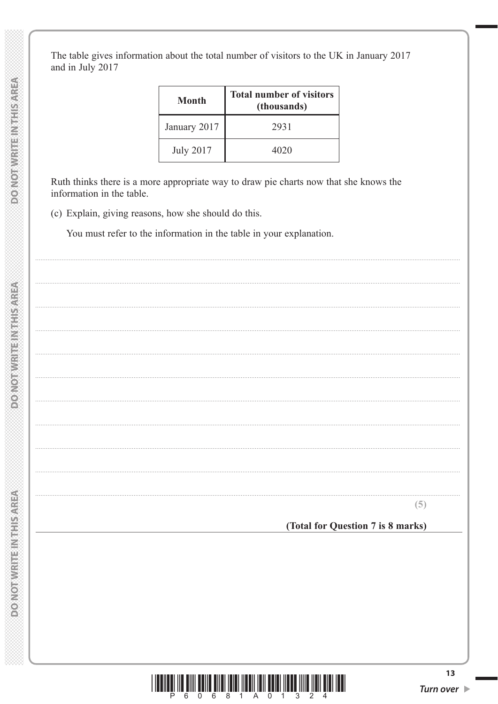The table gives information about the total number of visitors to the UK in January 2017 and in July 2017

| Month            | <b>Total number of visitors</b><br>(thousands) |
|------------------|------------------------------------------------|
| January 2017     | 2931                                           |
| <b>July 2017</b> | 4020                                           |

Ruth thinks there is a more appropriate way to draw pie charts now that she knows the information in the table.

(c) Explain, giving reasons, how she should do this.

You must refer to the information in the table in your explanation.

 $(5)$ 

(Total for Question 7 is 8 marks)

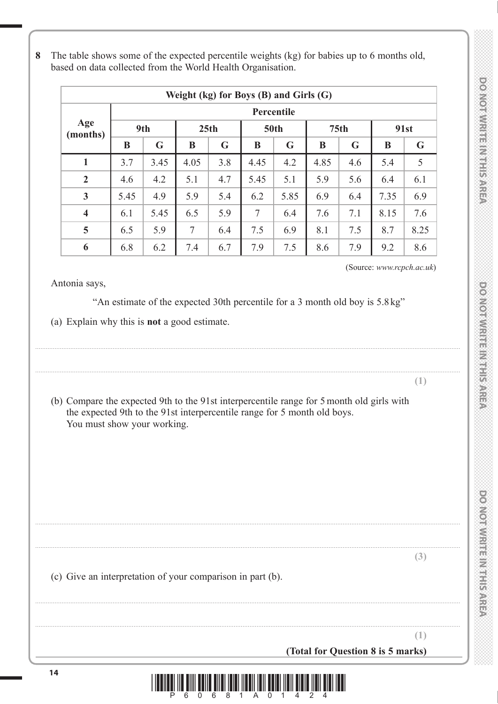| 8 The table shows some of the expected percentile weights (kg) for babies up to 6 months old,<br>based on data collected from the World Health Organisation. |
|--------------------------------------------------------------------------------------------------------------------------------------------------------------|
| $W_{\alpha}$ ; k $(1\alpha)$ for $\mathbf{D}_{\alpha}$ (D) and $C_{\alpha}$ ; $(0)$                                                                          |

| Weight (kg) for Boys (B) and Girls $(G)$ |            |      |        |     |             |      |      |                  |      |      |
|------------------------------------------|------------|------|--------|-----|-------------|------|------|------------------|------|------|
|                                          | Percentile |      |        |     |             |      |      |                  |      |      |
| Age<br>(months)                          | 9th        |      | 25th   |     | <b>50th</b> |      |      | 75 <sub>th</sub> |      | 91st |
|                                          | B          | G    | B      | G   | B           | G    | B    | G                | B    | G    |
| $\mathbf{1}$                             | 3.7        | 3.45 | 4.05   | 3.8 | 4.45        | 4.2  | 4.85 | 4.6              | 5.4  | 5    |
| $\overline{2}$                           | 4.6        | 4.2  | 5.1    | 4.7 | 5.45        | 5.1  | 5.9  | 5.6              | 6.4  | 6.1  |
| $\mathbf{3}$                             | 5.45       | 4.9  | 5.9    | 5.4 | 6.2         | 5.85 | 6.9  | 6.4              | 7.35 | 6.9  |
| $\overline{\mathbf{4}}$                  | 6.1        | 5.45 | 6.5    | 5.9 | 7           | 6.4  | 7.6  | 7.1              | 8.15 | 7.6  |
| 5                                        | 6.5        | 5.9  | $\tau$ | 6.4 | 7.5         | 6.9  | 8.1  | 7.5              | 8.7  | 8.25 |
| 6                                        | 6.8        | 6.2  | 7.4    | 6.7 | 7.9         | 7.5  | 8.6  | 7.9              | 9.2  | 8.6  |

(Source: *www.rcpch.ac.uk*)

Antonia says,

"An estimate of the expected 30th percentile for a 3 month old boy is 5.8 kg"

..................................................................................................................................................................................................................................................

..................................................................................................................................................................................................................................................

(a) Explain why this is **not** a good estimate.

**<sup>14</sup>** \*P60681A01424\* **(1)** (b) Compare the expected 9th to the 91st interpercentile range for 5 month old girls with the expected 9th to the 91st interpercentile range for 5 month old boys. You must show your working. .................................................................................................................................................................................................................................................. .................................................................................................................................................................................................................................................. **(3)** (c) Give an interpretation of your comparison in part (b). .................................................................................................................................................................................................................................................. **(1) (Total for Question 8 is 5 marks)**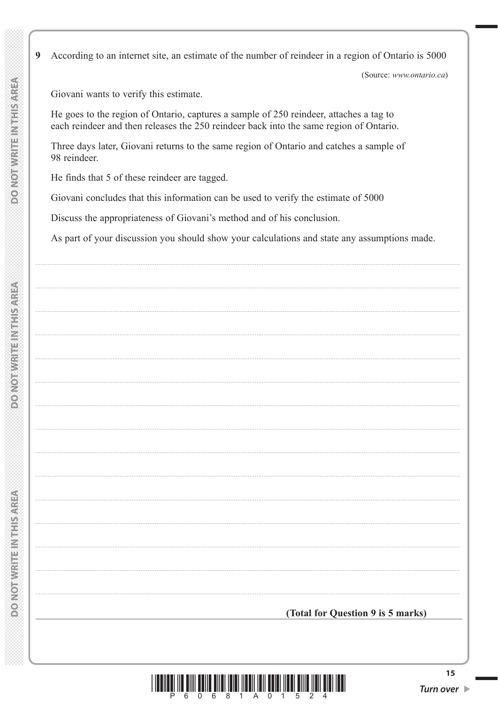$\boldsymbol{9}$ According to an internet site, an estimate of the number of reindeer in a region of Ontario is 5000

(Source: www.ontario.ca)

Giovani wants to verify this estimate.

He goes to the region of Ontario, captures a sample of 250 reindeer, attaches a tag to each reindeer and then releases the 250 reindeer back into the same region of Ontario.

Three days later, Giovani returns to the same region of Ontario and catches a sample of 98 reindeer.

He finds that 5 of these reindeer are tagged.

Giovani concludes that this information can be used to verify the estimate of 5000

Discuss the appropriateness of Giovani's method and of his conclusion.

As part of your discussion you should show your calculations and state any assumptions made.

**POINOT WRITED WITHSOMREA** 

<u> And a bho a bhail an an an t-ail</u>

6 8 1 A 0 1 5

(Total for Question 9 is 5 marks)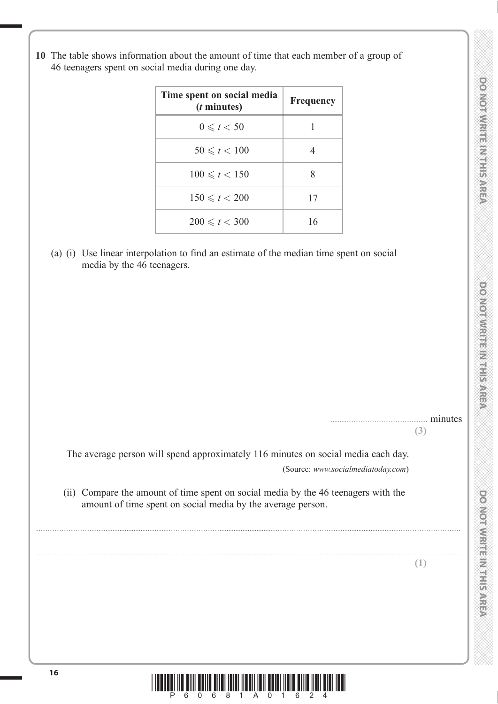**10** The table shows information about the amount of time that each member of a group of 46 teenagers spent on social media during one day.

| Time spent on social media<br>( <i>t</i> minutes) | Frequency |
|---------------------------------------------------|-----------|
| $0 \leqslant t < 50$                              |           |
| $50 \le t < 100$                                  |           |
| $100 \le t < 150$                                 | 8         |
| $150 \le t < 200$                                 | 17        |
| $200 \le t < 300$                                 | 16        |

 (a) (i) Use linear interpolation to find an estimate of the median time spent on social media by the 46 teenagers.

minutes **(3)**

 **DO NOT WRITE IN THE IN THIS AREA DO NOT WRITE IN THIS AREA DO NOT WRITE IN THIS AREA DO NOT WRITE IN THIS AREA DO NOT WRITE IN THE INTERNATIONAL CONTINUES. THE INTERNATIONAL CONTINUES. WE are also assumed to the internat** 

**DOMOTIVIRITEIN THE AREA** 

**DOONORMIES IN ELECTION** 

DOMOTWRITE IN THIS AREA

 The average person will spend approximately 116 minutes on social media each day. (Source: *www.socialmediatoday.com*)

 (ii) Compare the amount of time spent on social media by the 46 teenagers with the amount of time spent on social media by the average person.

..................................................................................................................................................................................................................................................

..................................................................................................................................................................................................................................................

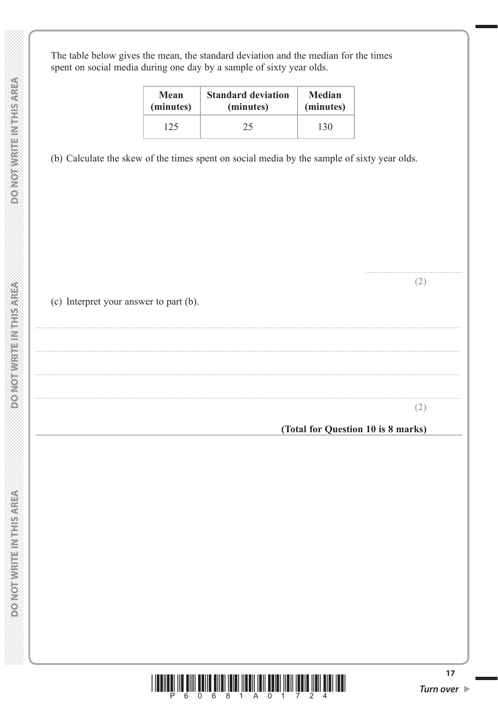**DOMOTIVRITE IN THIS AREA** 

The table below gives the mean, the standard deviation and the median for the times spent on social media during one day by a sample of sixty year olds.

| Mean      | <b>Standard deviation</b> | <b>Median</b> |  |
|-----------|---------------------------|---------------|--|
| (minutes) | (minutes)                 | (minutes)     |  |
| 125       | 25                        | 130           |  |

(b) Calculate the skew of the times spent on social media by the sample of sixty year olds.

(c) Interpret your answer to part (b).

 $(2)$ 

 $(2)$ 

(Total for Question 10 is 8 marks)

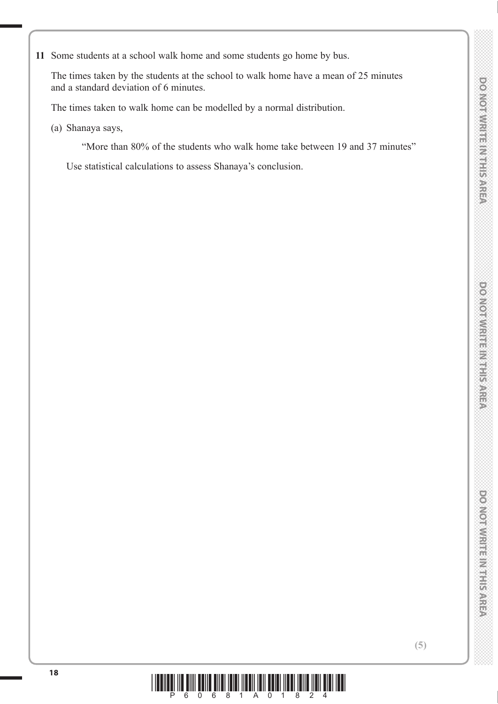DOMOTWRITEINTEISAREP

 The times taken by the students at the school to walk home have a mean of 25 minutes and a standard deviation of 6 minutes.

The times taken to walk home can be modelled by a normal distribution.

(a) Shanaya says,

"More than 80% of the students who walk home take between 19 and 37 minutes"

Use statistical calculations to assess Shanaya's conclusion.

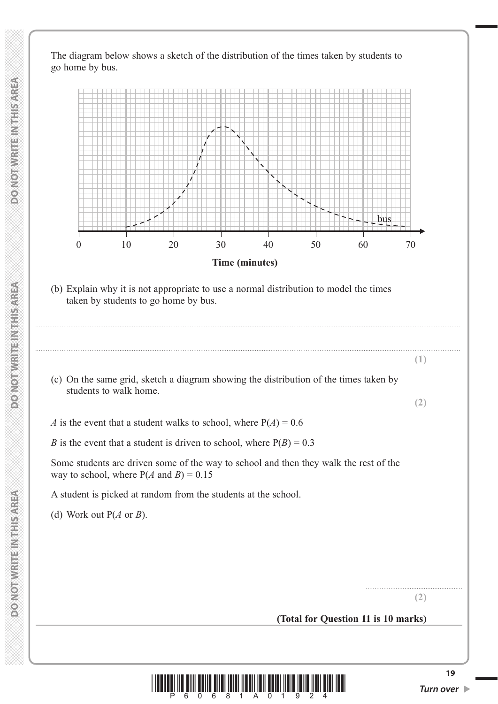The diagram below shows a sketch of the distribution of the times taken by students to go home by bus.



 (b) Explain why it is not appropriate to use a normal distribution to model the times taken by students to go home by bus.

..................................................................................................................................................................................................................................................

..................................................................................................................................................................................................................................................

- (c) On the same grid, sketch a diagram showing the distribution of the times taken by students to walk home.
- *A* is the event that a student walks to school, where  $P(A) = 0.6$
- *B* is the event that a student is driven to school, where  $P(B) = 0.3$

 Some students are driven some of the way to school and then they walk the rest of the way to school, where  $P(A \text{ and } B) = 0.15$ 

A student is picked at random from the students at the school.

(d) Work out P(*A* or *B*).

**(2)**

.......................................................

**(1)**

**(2)**

# **(Total for Question 11 is 10 marks)**

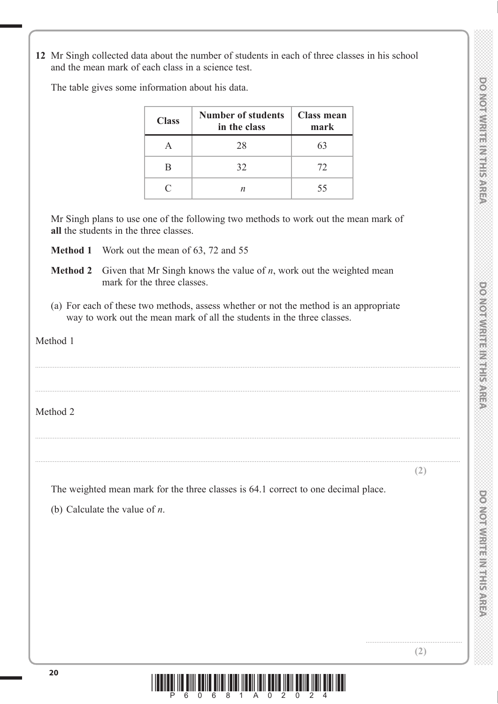**DONOTWRITE IN THIS AREA** 

**12** Mr Singh collected data about the number of students in each of three classes in his school and the mean mark of each class in a science test.

The table gives some information about his data.

| <b>Class</b> | Number of students   Class mean<br>in the class | mark |
|--------------|-------------------------------------------------|------|
|              | 28                                              | 63   |
|              | 32                                              | 72   |
| $\subset$    |                                                 | 55   |

 Mr Singh plans to use one of the following two methods to work out the mean mark of **all** the students in the three classes.

**Method 1** Work out the mean of 63, 72 and 55

- **Method 2** Given that Mr Singh knows the value of *n*, work out the weighted mean mark for the three classes.
- (a) For each of these two methods, assess whether or not the method is an appropriate way to work out the mean mark of all the students in the three classes.

..................................................................................................................................................................................................................................................

..................................................................................................................................................................................................................................................

..................................................................................................................................................................................................................................................

..................................................................................................................................................................................................................................................

Method 1

Method 2

**(2)**

The weighted mean mark for the three classes is 64.1 correct to one decimal place.

(b) Calculate the value of *n*.



.......................................................

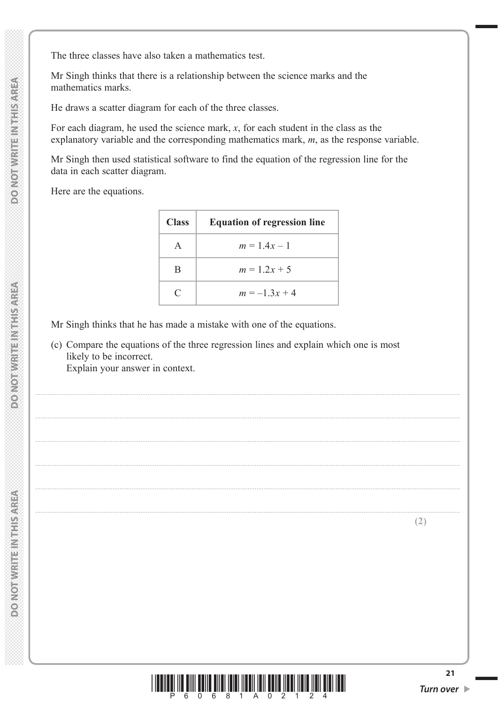The three classes have also taken a mathematics test.

 Mr Singh thinks that there is a relationship between the science marks and the mathematics marks.

He draws a scatter diagram for each of the three classes.

 For each diagram, he used the science mark, *x*, for each student in the class as the explanatory variable and the corresponding mathematics mark, *m*, as the response variable.

 Mr Singh then used statistical software to find the equation of the regression line for the data in each scatter diagram.

Here are the equations.

| <b>Class</b> | <b>Equation of regression line</b> |  |
|--------------|------------------------------------|--|
|              | $m = 1.4x - 1$                     |  |
| B            | $m = 1.2x + 5$                     |  |
| $\subset$    | $m = -1.3x + 4$                    |  |

..................................................................................................................................................................................................................................................

..................................................................................................................................................................................................................................................

..................................................................................................................................................................................................................................................

..................................................................................................................................................................................................................................................

..................................................................................................................................................................................................................................................

Mr Singh thinks that he has made a mistake with one of the equations.

 (c) Compare the equations of the three regression lines and explain which one is most likely to be incorrect.

Explain your answer in context.



**DO NOTWRITEINING AREA**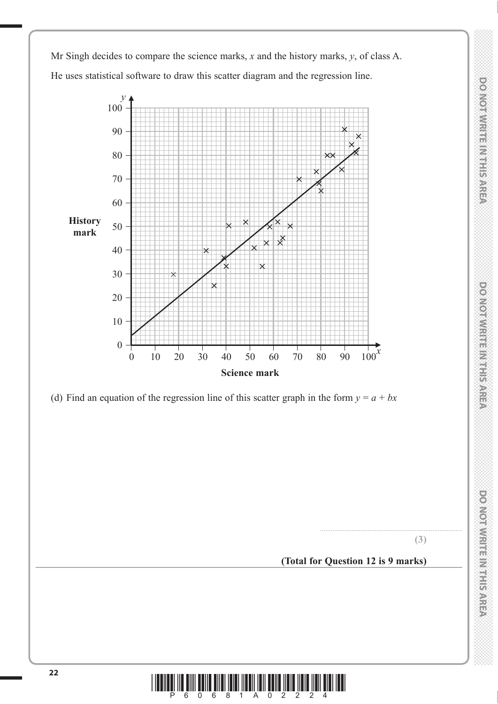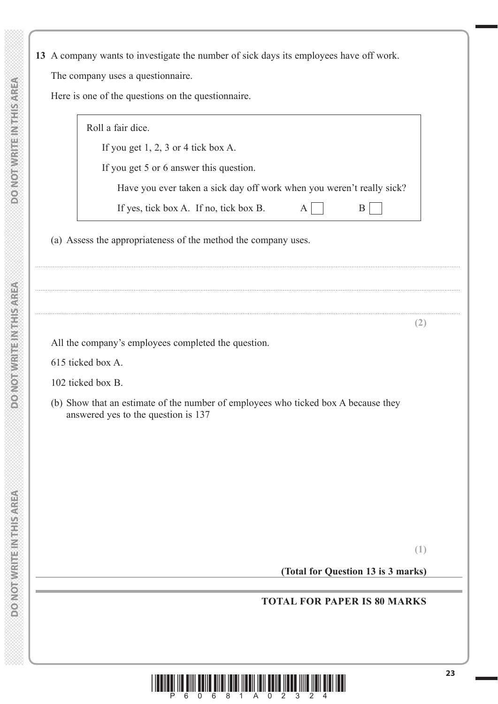**13** A company wants to investigate the number of sick days its employees have off work.

The company uses a questionnaire.

Here is one of the questions on the questionnaire.

| <b>TOTAL FOR PAPER IS 80 MARKS</b> |                                                                                                                           |
|------------------------------------|---------------------------------------------------------------------------------------------------------------------------|
|                                    | (1)<br>(Total for Question 13 is 3 marks)                                                                                 |
|                                    |                                                                                                                           |
|                                    |                                                                                                                           |
|                                    |                                                                                                                           |
|                                    |                                                                                                                           |
|                                    |                                                                                                                           |
|                                    | (b) Show that an estimate of the number of employees who ticked box A because they<br>answered yes to the question is 137 |
|                                    | 102 ticked box B.                                                                                                         |
|                                    | 615 ticked box A.                                                                                                         |
|                                    | All the company's employees completed the question.                                                                       |
|                                    | (2)                                                                                                                       |
|                                    |                                                                                                                           |
|                                    | (a) Assess the appropriateness of the method the company uses.                                                            |
|                                    |                                                                                                                           |
|                                    | Have you ever taken a sick day off work when you weren't really sick?<br>If yes, tick box A. If no, tick box B.<br>B<br>A |
|                                    | If you get 5 or 6 answer this question.                                                                                   |
|                                    | If you get $1, 2, 3$ or 4 tick box A.                                                                                     |
|                                    |                                                                                                                           |



**DO NOT WRITE IN THIS AREA**